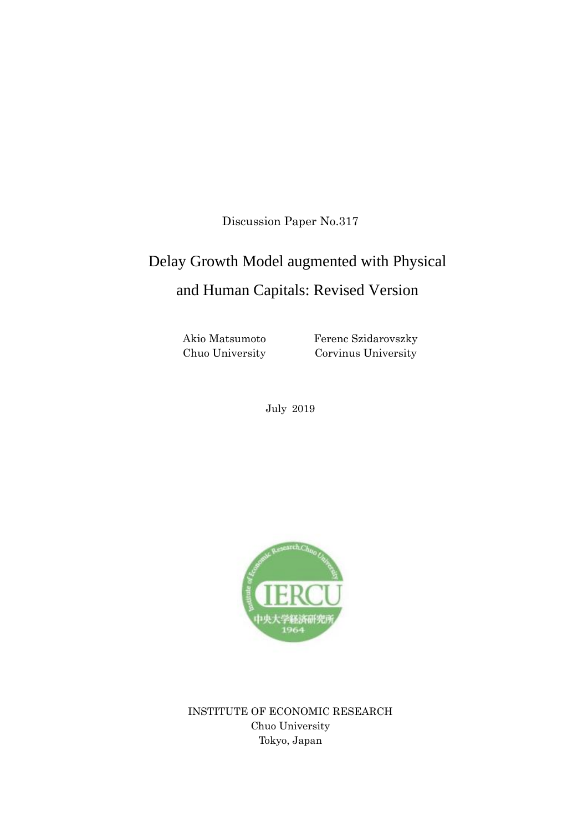Discussion Paper No.317

# Delay Growth Model augmented with Physical and Human Capitals: Revised Version

Akio Matsumoto Chuo University Ferenc Szidarovszky Corvinus University

July 2019



INSTITUTE OF ECONOMIC RESEARCH Chuo University Tokyo, Japan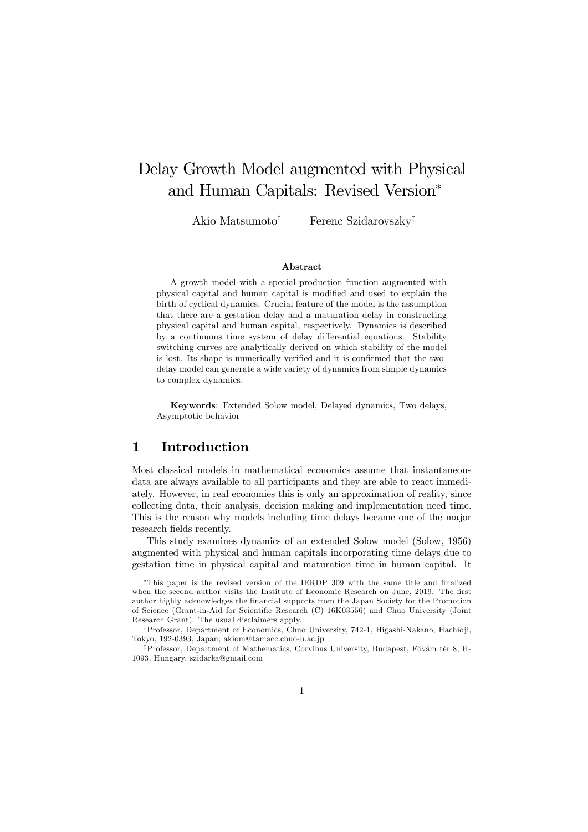## Delay Growth Model augmented with Physical and Human Capitals: Revised Version<sup>∗</sup>

Akio Matsumoto<sup>†</sup> Ferenc Szidarovszky<sup>‡</sup>

#### Abstract

A growth model with a special production function augmented with physical capital and human capital is modified and used to explain the birth of cyclical dynamics. Crucial feature of the model is the assumption that there are a gestation delay and a maturation delay in constructing physical capital and human capital, respectively. Dynamics is described by a continuous time system of delay differential equations. Stability switching curves are analytically derived on which stability of the model is lost. Its shape is numerically verified and it is confirmed that the twodelay model can generate a wide variety of dynamics from simple dynamics to complex dynamics.

Keywords: Extended Solow model, Delayed dynamics, Two delays, Asymptotic behavior

## 1 Introduction

Most classical models in mathematical economics assume that instantaneous data are always available to all participants and they are able to react immediately. However, in real economies this is only an approximation of reality, since collecting data, their analysis, decision making and implementation need time. This is the reason why models including time delays became one of the major research fields recently.

This study examines dynamics of an extended Solow model (Solow, 1956) augmented with physical and human capitals incorporating time delays due to gestation time in physical capital and maturation time in human capital. It

<sup>∗</sup>This paper is the revised version of the IERDP 309 with the same title and finalized when the second author visits the Institute of Economic Research on June, 2019. The first author highly acknowledges the financial supports from the Japan Society for the Promotion of Science (Grant-in-Aid for Scientific Research (C) 16K03556) and Chuo University (Joint Research Grant). The usual disclaimers apply.

<sup>†</sup>Professor, Department of Economics, Chuo University, 742-1, Higashi-Nakano, Hachio ji, Tokyo, 192-0393, Japan; akiom@tamacc.chuo-u.ac.jp

<sup>‡</sup>Professor, Department of Mathematics, Corvinus University, Budapest, Fövám tèr 8, H-1093, Hungary, szidarka@gmail.com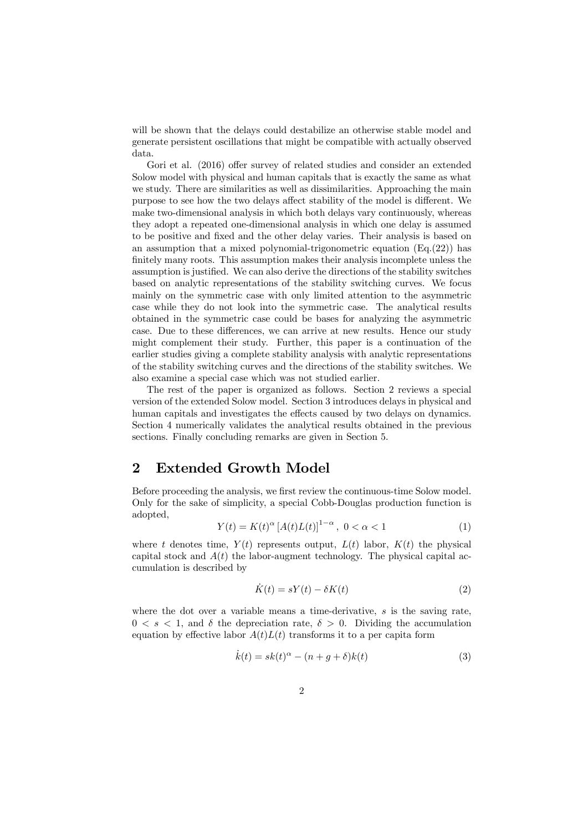will be shown that the delays could destabilize an otherwise stable model and generate persistent oscillations that might be compatible with actually observed data.

Gori et al. (2016) offer survey of related studies and consider an extended Solow model with physical and human capitals that is exactly the same as what we study. There are similarities as well as dissimilarities. Approaching the main purpose to see how the two delays affect stability of the model is different. We make two-dimensional analysis in which both delays vary continuously, whereas they adopt a repeated one-dimensional analysis in which one delay is assumed to be positive and fixed and the other delay varies. Their analysis is based on an assumption that a mixed polynomial-trigonometric equation  $(E_q(22))$  has finitely many roots. This assumption makes their analysis incomplete unless the assumption is justified. We can also derive the directions of the stability switches based on analytic representations of the stability switching curves. We focus mainly on the symmetric case with only limited attention to the asymmetric case while they do not look into the symmetric case. The analytical results obtained in the symmetric case could be bases for analyzing the asymmetric case. Due to these differences, we can arrive at new results. Hence our study might complement their study. Further, this paper is a continuation of the earlier studies giving a complete stability analysis with analytic representations of the stability switching curves and the directions of the stability switches. We also examine a special case which was not studied earlier.

The rest of the paper is organized as follows. Section 2 reviews a special version of the extended Solow model. Section 3 introduces delays in physical and human capitals and investigates the effects caused by two delays on dynamics. Section 4 numerically validates the analytical results obtained in the previous sections. Finally concluding remarks are given in Section 5.

## 2 Extended Growth Model

Before proceeding the analysis, we first review the continuous-time Solow model. Only for the sake of simplicity, a special Cobb-Douglas production function is adopted,

$$
Y(t) = K(t)^{\alpha} \left[ A(t)L(t) \right]^{1-\alpha}, \ 0 < \alpha < 1 \tag{1}
$$

where t denotes time,  $Y(t)$  represents output,  $L(t)$  labor,  $K(t)$  the physical capital stock and  $A(t)$  the labor-augment technology. The physical capital accumulation is described by

$$
\dot{K}(t) = sY(t) - \delta K(t) \tag{2}
$$

where the dot over a variable means a time-derivative,  $s$  is the saving rate,  $0 \leq s \leq 1$ , and  $\delta$  the depreciation rate,  $\delta > 0$ . Dividing the accumulation equation by effective labor  $A(t)L(t)$  transforms it to a per capita form

$$
\dot{k}(t) = sk(t)^{\alpha} - (n+g+\delta)k(t)
$$
\n(3)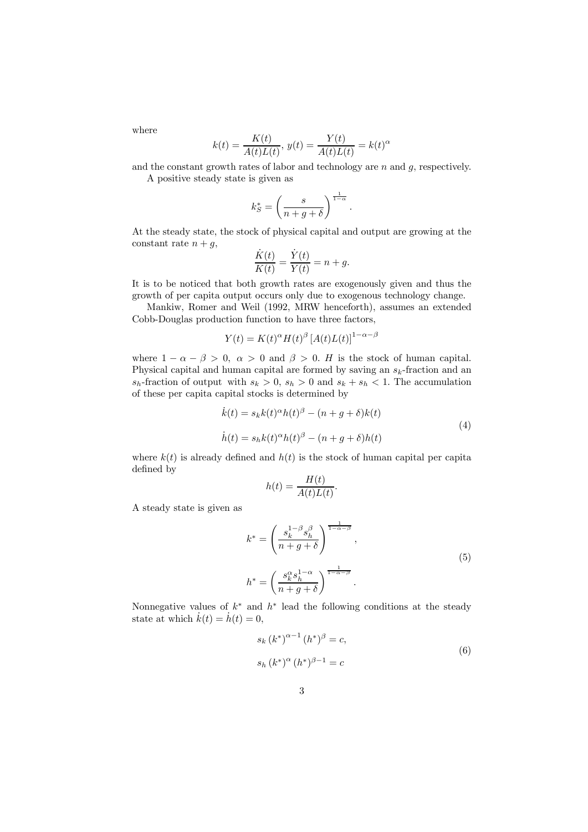where

$$
k(t) = \frac{K(t)}{A(t)L(t)}, \ y(t) = \frac{Y(t)}{A(t)L(t)} = k(t)^{\alpha}
$$

and the constant growth rates of labor and technology are  $n$  and  $q$ , respectively.

A positive steady state is given as

$$
k_S^* = \left(\frac{s}{n+g+\delta}\right)^{\frac{1}{1-\alpha}}
$$

At the steady state, the stock of physical capital and output are growing at the constant rate  $n + g$ ,

$$
\frac{\dot{K}(t)}{K(t)} = \frac{\dot{Y}(t)}{Y(t)} = n + g.
$$

It is to be noticed that both growth rates are exogenously given and thus the growth of per capita output occurs only due to exogenous technology change.

Mankiw, Romer and Weil (1992, MRW henceforth), assumes an extended Cobb-Douglas production function to have three factors,

$$
Y(t) = K(t)^{\alpha} H(t)^{\beta} [A(t)L(t)]^{1-\alpha-\beta}
$$

where  $1 - \alpha - \beta > 0$ ,  $\alpha > 0$  and  $\beta > 0$ . H is the stock of human capital. Physical capital and human capital are formed by saving an  $s_k$ -fraction and an  $s_h$ -fraction of output with  $s_k > 0$ ,  $s_h > 0$  and  $s_k + s_h < 1$ . The accumulation of these per capita capital stocks is determined by

$$
\dot{k}(t) = s_k k(t)^{\alpha} h(t)^{\beta} - (n+g+\delta) k(t)
$$
\n
$$
\dot{h}(t) = s_h k(t)^{\alpha} h(t)^{\beta} - (n+g+\delta) h(t)
$$
\n(4)

.

where  $k(t)$  is already defined and  $h(t)$  is the stock of human capital per capital defined by

$$
h(t) = \frac{H(t)}{A(t)L(t)}.
$$

A steady state is given as

$$
k^* = \left(\frac{s_k^{1-\beta} s_h^{\beta}}{n+g+\delta}\right)^{\frac{1}{1-\alpha-\beta}},
$$
  

$$
h^* = \left(\frac{s_k^{\alpha} s_h^{1-\alpha}}{n+g+\delta}\right)^{\frac{1}{1-\alpha-\beta}}.
$$
  
(5)

Nonnegative values of  $k^*$  and  $h^*$  lead the following conditions at the steady state at which  $\dot{k}(t) = \dot{h}(t) = 0$ ,

$$
s_k (k^*)^{\alpha - 1} (h^*)^{\beta} = c,
$$
  
\n
$$
s_h (k^*)^{\alpha} (h^*)^{\beta - 1} = c
$$
\n(6)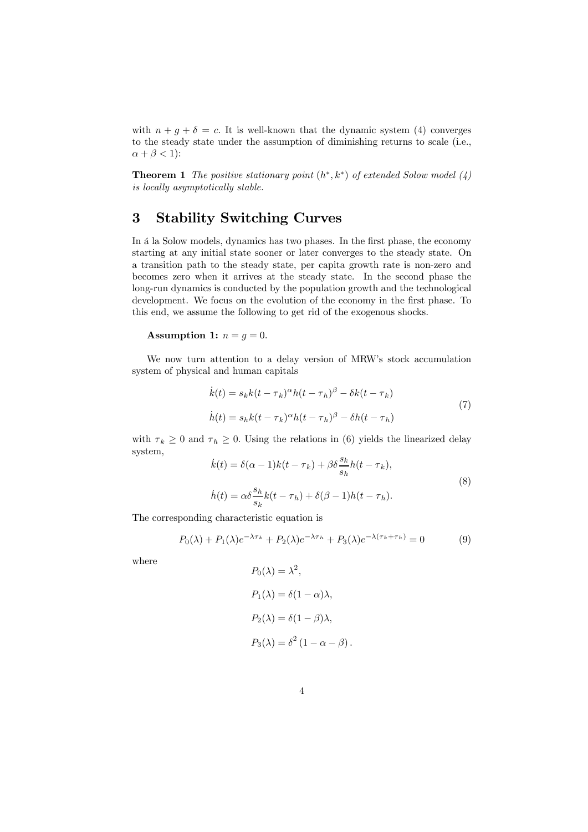with  $n + q + \delta = c$ . It is well-known that the dynamic system (4) converges to the steady state under the assumption of diminishing returns to scale (i.e.,  $\alpha + \beta < 1$ :

**Theorem 1** The positive stationary point  $(h^*, k^*)$  of extended Solow model  $(4)$ is locally asymptotically stable.

## 3 Stability Switching Curves

In á la Solow models, dynamics has two phases. In the first phase, the economy starting at any initial state sooner or later converges to the steady state. On a transition path to the steady state, per capita growth rate is non-zero and becomes zero when it arrives at the steady state. In the second phase the long-run dynamics is conducted by the population growth and the technological development. We focus on the evolution of the economy in the first phase. To this end, we assume the following to get rid of the exogenous shocks.

#### Assumption 1:  $n = g = 0$ .

We now turn attention to a delay version of MRW's stock accumulation system of physical and human capitals

$$
\dot{k}(t) = s_k k(t - \tau_k)^{\alpha} h(t - \tau_h)^{\beta} - \delta k(t - \tau_k)
$$
  
\n
$$
\dot{h}(t) = s_h k(t - \tau_k)^{\alpha} h(t - \tau_h)^{\beta} - \delta h(t - \tau_h)
$$
\n(7)

with  $\tau_k \geq 0$  and  $\tau_h \geq 0$ . Using the relations in (6) yields the linearized delay system,

$$
\dot{k}(t) = \delta(\alpha - 1)k(t - \tau_k) + \beta \delta \frac{s_k}{s_h} h(t - \tau_k),
$$
  
\n
$$
\dot{h}(t) = \alpha \delta \frac{s_h}{s_k} k(t - \tau_h) + \delta(\beta - 1)h(t - \tau_h).
$$
\n(8)

The corresponding characteristic equation is

$$
P_0(\lambda) + P_1(\lambda)e^{-\lambda \tau_k} + P_2(\lambda)e^{-\lambda \tau_h} + P_3(\lambda)e^{-\lambda(\tau_k + \tau_h)} = 0
$$
\n(9)

where

$$
P_0(\lambda) = \lambda^2,
$$
  
\n
$$
P_1(\lambda) = \delta(1 - \alpha)\lambda,
$$
  
\n
$$
P_2(\lambda) = \delta(1 - \beta)\lambda,
$$
  
\n
$$
P_3(\lambda) = \delta^2(1 - \alpha - \beta).
$$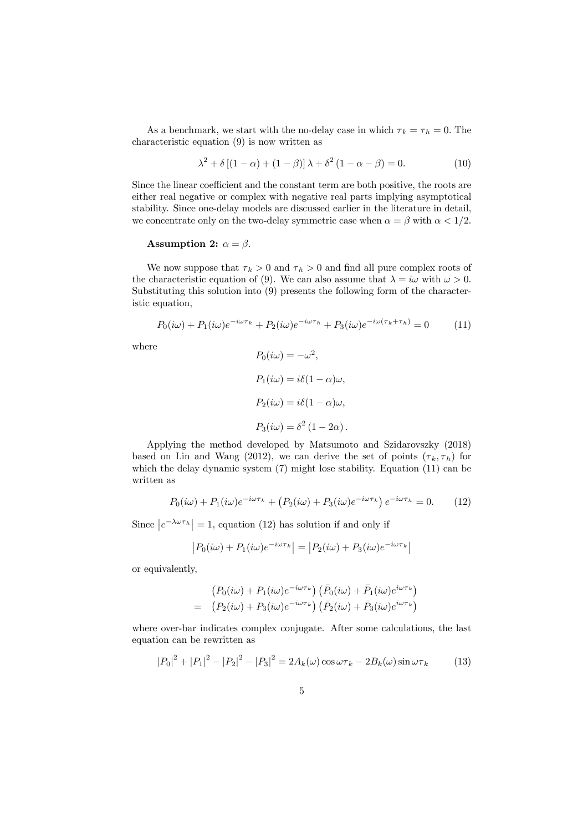As a benchmark, we start with the no-delay case in which  $\tau_k = \tau_h = 0$ . The characteristic equation (9) is now written as

$$
\lambda^2 + \delta \left[ (1 - \alpha) + (1 - \beta) \right] \lambda + \delta^2 \left( 1 - \alpha - \beta \right) = 0. \tag{10}
$$

Since the linear coefficient and the constant term are both positive, the roots are either real negative or complex with negative real parts implying asymptotical stability. Since one-delay models are discussed earlier in the literature in detail, we concentrate only on the two-delay symmetric case when  $\alpha = \beta$  with  $\alpha < 1/2$ .

#### Assumption 2:  $\alpha = \beta$ .

We now suppose that  $\tau_k > 0$  and  $\tau_h > 0$  and find all pure complex roots of the characteristic equation of (9). We can also assume that  $\lambda = i\omega$  with  $\omega > 0$ . Substituting this solution into (9) presents the following form of the characteristic equation,

$$
P_0(i\omega) + P_1(i\omega)e^{-i\omega\tau_k} + P_2(i\omega)e^{-i\omega\tau_k} + P_3(i\omega)e^{-i\omega(\tau_k + \tau_k)} = 0 \tag{11}
$$

where

$$
P_0(i\omega) = -\omega^2,
$$
  
\n
$$
P_1(i\omega) = i\delta(1-\alpha)\omega,
$$
  
\n
$$
P_2(i\omega) = i\delta(1-\alpha)\omega,
$$
  
\n
$$
P_3(i\omega) = \delta^2(1-2\alpha).
$$

Applying the method developed by Matsumoto and Szidarovszky (2018) based on Lin and Wang (2012), we can derive the set of points  $(\tau_k, \tau_h)$  for which the delay dynamic system  $(7)$  might lose stability. Equation  $(11)$  can be written as

$$
P_0(i\omega) + P_1(i\omega)e^{-i\omega\tau_k} + \left(P_2(i\omega) + P_3(i\omega)e^{-i\omega\tau_k}\right)e^{-i\omega\tau_k} = 0.
$$
 (12)

Since  $|e^{-\lambda \omega \tau_h}| = 1$ , equation (12) has solution if and only if

$$
|P_0(i\omega) + P_1(i\omega)e^{-i\omega\tau_k}| = |P_2(i\omega) + P_3(i\omega)e^{-i\omega\tau_k}|
$$

or equivalently,

$$
\begin{aligned} \left(P_0(i\omega) + P_1(i\omega)e^{-i\omega\tau_k}\right)\left(\bar{P}_0(i\omega) + \bar{P}_1(i\omega)e^{i\omega\tau_k}\right) \\ = \quad &\left(P_2(i\omega) + P_3(i\omega)e^{-i\omega\tau_k}\right)\left(\bar{P}_2(i\omega) + \bar{P}_3(i\omega)e^{i\omega\tau_k}\right) \end{aligned}
$$

where over-bar indicates complex conjugate. After some calculations, the last equation can be rewritten as

$$
|P_0|^2 + |P_1|^2 - |P_2|^2 - |P_3|^2 = 2A_k(\omega)\cos\omega\tau_k - 2B_k(\omega)\sin\omega\tau_k
$$
 (13)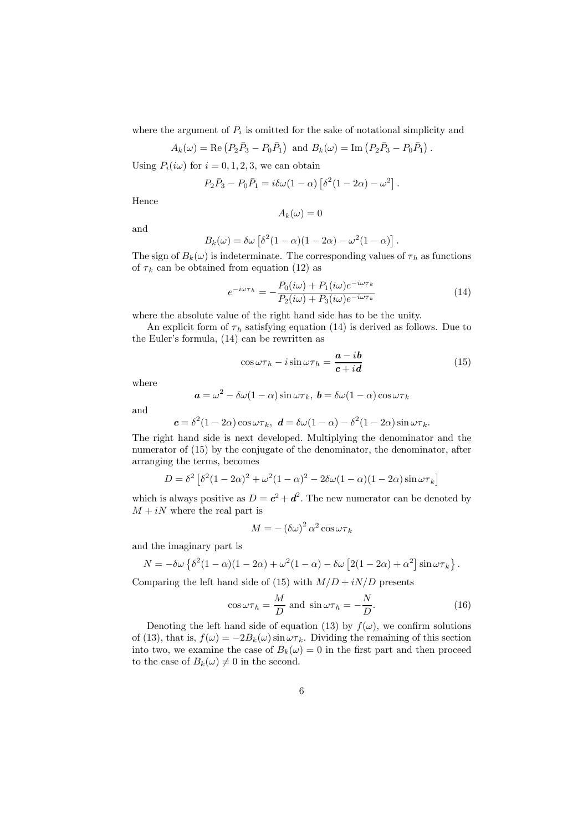where the argument of  $P_i$  is omitted for the sake of notational simplicity and

$$
A_k(\omega) = \text{Re}(P_2\bar{P}_3 - P_0\bar{P}_1) \text{ and } B_k(\omega) = \text{Im}(P_2\bar{P}_3 - P_0\bar{P}_1).
$$

Using  $P_i(i\omega)$  for  $i = 0, 1, 2, 3$ , we can obtain

$$
P_2\bar{P}_3 - P_0\bar{P}_1 = i\delta\omega(1-\alpha)\left[\delta^2(1-2\alpha) - \omega^2\right].
$$

Hence

$$
A_k(\omega)=0
$$

and

$$
B_k(\omega) = \delta\omega \left[ \delta^2 (1 - \alpha)(1 - 2\alpha) - \omega^2 (1 - \alpha) \right]
$$

The sign of  $B_k(\omega)$  is indeterminate. The corresponding values of  $\tau_h$  as functions of  $\tau_k$  can be obtained from equation (12) as

$$
e^{-i\omega\tau_h} = -\frac{P_0(i\omega) + P_1(i\omega)e^{-i\omega\tau_k}}{P_2(i\omega) + P_3(i\omega)e^{-i\omega\tau_k}}
$$
(14)

.

where the absolute value of the right hand side has to be the unity.

An explicit form of  $\tau_h$  satisfying equation (14) is derived as follows. Due to the Euler's formula, (14) can be rewritten as

$$
\cos \omega \tau_h - i \sin \omega \tau_h = \frac{a - ib}{c + id} \tag{15}
$$

where

$$
\mathbf{a} = \omega^2 - \delta\omega(1 - \alpha)\sin\omega\tau_k, \mathbf{b} = \delta\omega(1 - \alpha)\cos\omega\tau_k
$$

and

$$
c = \delta^2 (1 - 2\alpha) \cos \omega \tau_k
$$
,  $d = \delta \omega (1 - \alpha) - \delta^2 (1 - 2\alpha) \sin \omega \tau_k$ .

The right hand side is next developed. Multiplying the denominator and the numerator of (15) by the conjugate of the denominator, the denominator, after arranging the terms, becomes

$$
D = \delta^2 \left[ \delta^2 (1 - 2\alpha)^2 + \omega^2 (1 - \alpha)^2 - 2\delta \omega (1 - \alpha)(1 - 2\alpha) \sin \omega \tau_k \right]
$$

which is always positive as  $D = c^2 + d^2$ . The new numerator can be denoted by  $M + iN$  where the real part is

$$
M = -(\delta\omega)^2 \alpha^2 \cos \omega \tau_k
$$

and the imaginary part is

$$
N = -\delta\omega \left\{ \delta^2 (1-\alpha)(1-2\alpha) + \omega^2 (1-\alpha) - \delta\omega \left[ 2(1-2\alpha) + \alpha^2 \right] \sin \omega \tau_k \right\}.
$$

Comparing the left hand side of (15) with  $M/D + iN/D$  presents

$$
\cos \omega \tau_h = \frac{M}{D} \text{ and } \sin \omega \tau_h = -\frac{N}{D}.\tag{16}
$$

Denoting the left hand side of equation (13) by  $f(\omega)$ , we confirm solutions of (13), that is,  $f(\omega) = -2B_k(\omega) \sin \omega \tau_k$ . Dividing the remaining of this section into two, we examine the case of  $B_k(\omega)=0$  in the first part and then proceed to the case of  $B_k(\omega) \neq 0$  in the second.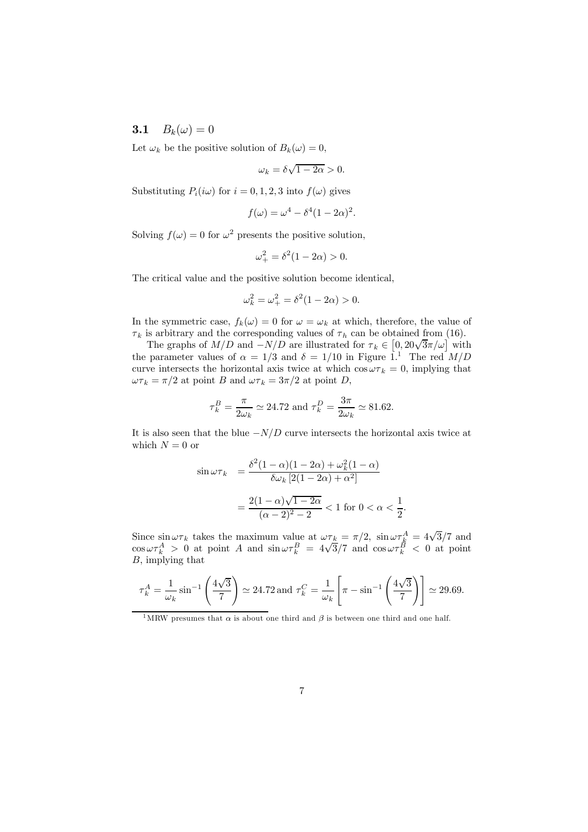## **3.1**  $B_k(\omega)=0$

Let  $\omega_k$  be the positive solution of  $B_k(\omega)=0$ ,

$$
\omega_k = \delta \sqrt{1 - 2\alpha} > 0.
$$

Substituting  $P_i(i\omega)$  for  $i = 0, 1, 2, 3$  into  $f(\omega)$  gives

$$
f(\omega) = \omega^4 - \delta^4 (1 - 2\alpha)^2.
$$

Solving  $f(\omega)=0$  for  $\omega^2$  presents the positive solution,

$$
\omega_{+}^{2} = \delta^{2} (1 - 2\alpha) > 0.
$$

The critical value and the positive solution become identical,

$$
\omega_k^2 = \omega_+^2 = \delta^2 (1 - 2\alpha) > 0.
$$

In the symmetric case,  $f_k(\omega)=0$  for  $\omega = \omega_k$  at which, therefore, the value of  $\tau_k$  is arbitrary and the corresponding values of  $\tau_h$  can be obtained from (16).

The graphs of  $M/D$  and  $-N/D$  are illustrated for  $\tau_k \in [0, 20\sqrt{3}\pi/\omega]$  with the parameter values of  $\alpha = 1/3$  and  $\delta = 1/10$  in Figure 1.<sup>1</sup> The red  $M/D$ curve intersects the horizontal axis twice at which  $\cos \omega \tau_k = 0$ , implying that  $\omega \tau_k = \pi/2$  at point B and  $\omega \tau_k = 3\pi/2$  at point D,

$$
\tau_k^B = \frac{\pi}{2\omega_k} \simeq 24.72 \text{ and } \tau_k^D = \frac{3\pi}{2\omega_k} \simeq 81.62.
$$

It is also seen that the blue  $-N/D$  curve intersects the horizontal axis twice at which  $N = 0$  or

$$
\sin \omega \tau_k = \frac{\delta^2 (1 - \alpha)(1 - 2\alpha) + \omega_k^2 (1 - \alpha)}{\delta \omega_k [2(1 - 2\alpha) + \alpha^2]}
$$

$$
= \frac{2(1 - \alpha)\sqrt{1 - 2\alpha}}{(\alpha - 2)^2 - 2} < 1 \text{ for } 0 < \alpha < \frac{1}{2}.
$$

Since  $\sin \omega \tau_k$  takes the maximum value at  $\omega \tau_k = \pi/2$ ,  $\sin \omega \tau_k^A = 4\sqrt{3}/7$  and cos  $\omega \tau_k^A > 0$  at point A and  $\sin \omega \tau_k^B = 4\sqrt{3}/7$  and  $\cos \omega \tau_k^B < 0$  at point B, implying that

$$
\tau_k^A = \frac{1}{\omega_k} \sin^{-1} \left( \frac{4\sqrt{3}}{7} \right) \simeq 24.72 \text{ and } \tau_k^C = \frac{1}{\omega_k} \left[ \pi - \sin^{-1} \left( \frac{4\sqrt{3}}{7} \right) \right] \simeq 29.69.
$$

<sup>&</sup>lt;sup>1</sup>MRW presumes that  $\alpha$  is about one third and  $\beta$  is between one third and one half.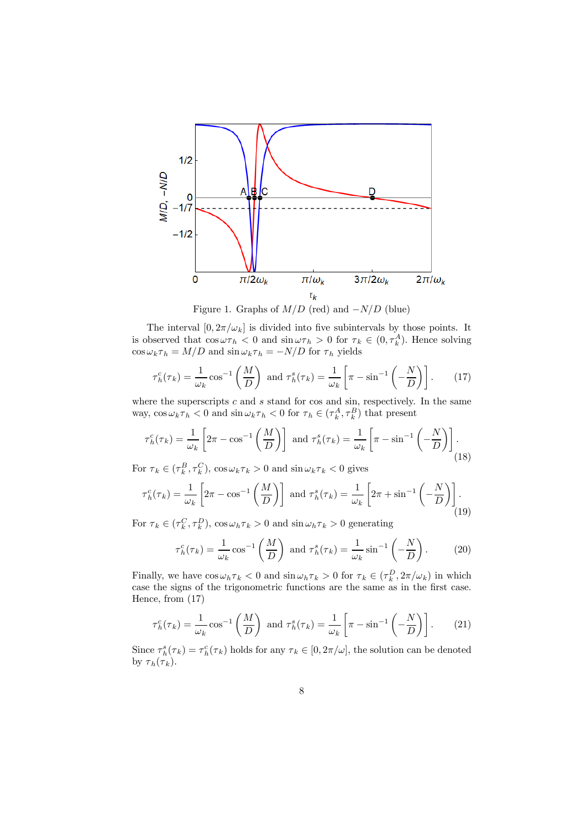

Figure 1. Graphs of  $M/D$  (red) and  $-N/D$  (blue)

The interval  $[0, 2\pi/\omega_k]$  is divided into five subintervals by those points. It is observed that  $\cos \omega \tau_h < 0$  and  $\sin \omega \tau_h > 0$  for  $\tau_k \in (0, \tau_k^A)$ . Hence solving  $\cos \omega_k \tau_h = M/D$  and  $\sin \omega_k \tau_h = -N/D$  for  $\tau_h$  yields

$$
\tau_h^c(\tau_k) = \frac{1}{\omega_k} \cos^{-1} \left( \frac{M}{D} \right) \text{ and } \tau_h^s(\tau_k) = \frac{1}{\omega_k} \left[ \pi - \sin^{-1} \left( -\frac{N}{D} \right) \right]. \tag{17}
$$

where the superscripts  $c$  and  $s$  stand for cos and sin, respectively. In the same way,  $\cos \omega_k \tau_h < 0$  and  $\sin \omega_k \tau_h < 0$  for  $\tau_h \in (\tau_k^A, \tau_k^B)$  that present

$$
\tau_h^c(\tau_k) = \frac{1}{\omega_k} \left[ 2\pi - \cos^{-1}\left(\frac{M}{D}\right) \right] \text{ and } \tau_h^s(\tau_k) = \frac{1}{\omega_k} \left[ \pi - \sin^{-1}\left(-\frac{N}{D}\right) \right].
$$
\n(18)

For  $\tau_k \in (\tau_k^B, \tau_k^C)$ ,  $\cos \omega_k \tau_k > 0$  and  $\sin \omega_k \tau_k < 0$  gives

$$
\tau_h^c(\tau_k) = \frac{1}{\omega_k} \left[ 2\pi - \cos^{-1}\left(\frac{M}{D}\right) \right] \text{ and } \tau_h^s(\tau_k) = \frac{1}{\omega_k} \left[ 2\pi + \sin^{-1}\left(-\frac{N}{D}\right) \right]. \tag{19}
$$

For  $\tau_k \in (\tau_k^C, \tau_k^D)$ ,  $\cos \omega_h \tau_k > 0$  and  $\sin \omega_h \tau_k > 0$  generating

$$
\tau_h^c(\tau_k) = \frac{1}{\omega_k} \cos^{-1} \left( \frac{M}{D} \right) \text{ and } \tau_h^s(\tau_k) = \frac{1}{\omega_k} \sin^{-1} \left( -\frac{N}{D} \right). \tag{20}
$$

Finally, we have  $\cos \omega_h \tau_k < 0$  and  $\sin \omega_h \tau_k > 0$  for  $\tau_k \in (\tau_k^D, 2\pi/\omega_k)$  in which case the signs of the trigonometric functions are the same as in the first case. Hence, from (17)

$$
\tau_h^c(\tau_k) = \frac{1}{\omega_k} \cos^{-1} \left( \frac{M}{D} \right) \text{ and } \tau_h^s(\tau_k) = \frac{1}{\omega_k} \left[ \pi - \sin^{-1} \left( -\frac{N}{D} \right) \right]. \tag{21}
$$

Since  $\tau_h^s(\tau_k) = \tau_h^c(\tau_k)$  holds for any  $\tau_k \in [0, 2\pi/\omega]$ , the solution can be denoted by  $\tau_h(\tau_k)$ .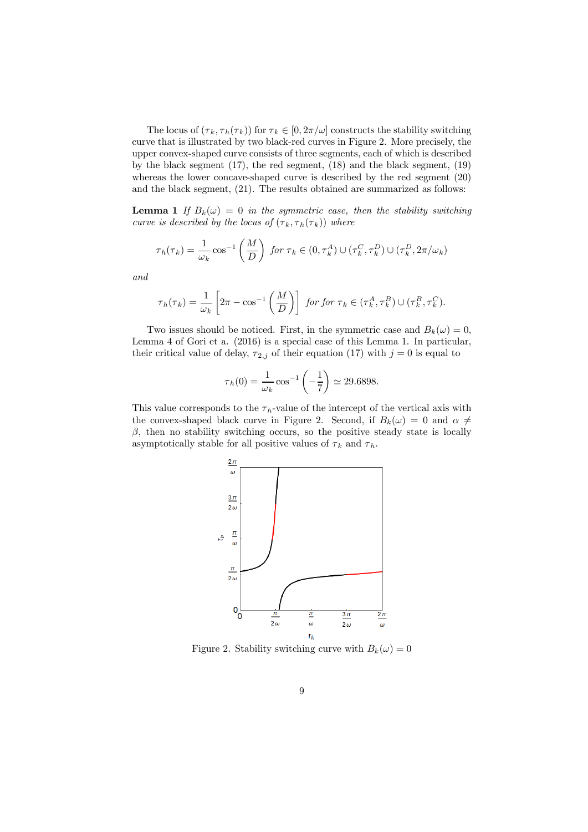The locus of  $(\tau_k, \tau_h(\tau_k))$  for  $\tau_k \in [0, 2\pi/\omega]$  constructs the stability switching curve that is illustrated by two black-red curves in Figure 2. More precisely, the upper convex-shaped curve consists of three segments, each of which is described by the black segment (17), the red segment, (18) and the black segment, (19) whereas the lower concave-shaped curve is described by the red segment (20) and the black segment, (21). The results obtained are summarized as follows:

**Lemma 1** If  $B_k(\omega)=0$  in the symmetric case, then the stability switching curve is described by the locus of  $(\tau_k, \tau_h(\tau_k))$  where

$$
\tau_h(\tau_k) = \frac{1}{\omega_k} \cos^{-1} \left( \frac{M}{D} \right) \text{ for } \tau_k \in (0, \tau_k^A) \cup (\tau_k^C, \tau_k^D) \cup (\tau_k^D, 2\pi/\omega_k)
$$

and

$$
\tau_h(\tau_k) = \frac{1}{\omega_k} \left[ 2\pi - \cos^{-1}\left(\frac{M}{D}\right) \right] \text{ for for } \tau_k \in (\tau_k^A, \tau_k^B) \cup (\tau_k^B, \tau_k^C).
$$

Two issues should be noticed. First, in the symmetric case and  $B_k(\omega)=0$ . Lemma 4 of Gori et a. (2016) is a special case of this Lemma 1. In particular, their critical value of delay,  $\tau_{2,j}$  of their equation (17) with  $j = 0$  is equal to

$$
\tau_h(0) = \frac{1}{\omega_k} \cos^{-1}\left(-\frac{1}{7}\right) \simeq 29.6898.
$$

This value corresponds to the  $\tau_h$ -value of the intercept of the vertical axis with the convex-shaped black curve in Figure 2. Second, if  $B_k(\omega)=0$  and  $\alpha \neq$  $\beta$ , then no stability switching occurs, so the positive steady state is locally asymptotically stable for all positive values of  $\tau_k$  and  $\tau_h$ .



Figure 2. Stability switching curve with  $B_k(\omega)=0$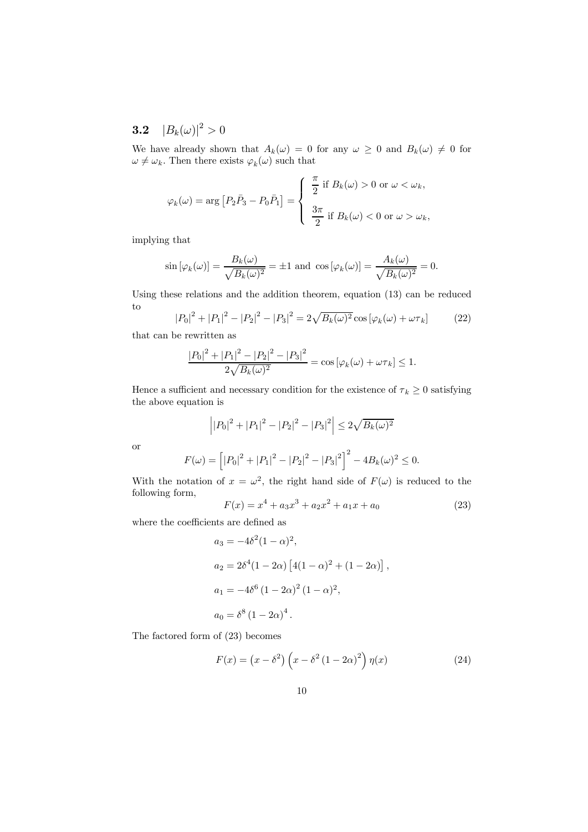**3.2**  $|B_k(\omega)|^2 > 0$ 

We have already shown that  $A_k(\omega)=0$  for any  $\omega\geq 0$  and  $B_k(\omega)\neq 0$  for  $\omega \neq \omega_k$ . Then there exists  $\varphi_k(\omega)$  such that

$$
\varphi_k(\omega) = \arg \left[ P_2 \bar{P}_3 - P_0 \bar{P}_1 \right] = \begin{cases} \frac{\pi}{2} & \text{if } B_k(\omega) > 0 \text{ or } \omega < \omega_k, \\ \frac{3\pi}{2} & \text{if } B_k(\omega) < 0 \text{ or } \omega > \omega_k, \end{cases}
$$

implying that

$$
\sin\left[\varphi_k(\omega)\right] = \frac{B_k(\omega)}{\sqrt{B_k(\omega)^2}} = \pm 1 \text{ and } \cos\left[\varphi_k(\omega)\right] = \frac{A_k(\omega)}{\sqrt{B_k(\omega)^2}} = 0.
$$

Using these relations and the addition theorem, equation (13) can be reduced to

$$
|P_0|^2 + |P_1|^2 - |P_2|^2 - |P_3|^2 = 2\sqrt{B_k(\omega)^2} \cos[\varphi_k(\omega) + \omega \tau_k]
$$
 (22)

that can be rewritten as

$$
\frac{|P_0|^2 + |P_1|^2 - |P_2|^2 - |P_3|^2}{2\sqrt{B_k(\omega)^2}} = \cos\left[\varphi_k(\omega) + \omega\tau_k\right] \le 1.
$$

Hence a sufficient and necessary condition for the existence of  $\tau_k \geq 0$  satisfying the above equation is

$$
\left| |P_0|^2 + |P_1|^2 - |P_2|^2 - |P_3|^2 \right| \le 2\sqrt{B_k(\omega)^2}
$$

or

$$
F(\omega) = \left[ |P_0|^2 + |P_1|^2 - |P_2|^2 - |P_3|^2 \right]^2 - 4B_k(\omega)^2 \le 0.
$$

With the notation of  $x = \omega^2$ , the right hand side of  $F(\omega)$  is reduced to the following form,

$$
F(x) = x4 + a3x3 + a2x2 + a1x + a0
$$
 (23)

where the coefficients are defined as

$$
a_3 = -4\delta^2 (1 - \alpha)^2,
$$
  
\n
$$
a_2 = 2\delta^4 (1 - 2\alpha) [4(1 - \alpha)^2 + (1 - 2\alpha)]
$$
,  
\n
$$
a_1 = -4\delta^6 (1 - 2\alpha)^2 (1 - \alpha)^2,
$$
  
\n
$$
a_0 = \delta^8 (1 - 2\alpha)^4.
$$

The factored form of (23) becomes

$$
F(x) = (x - \delta^2) \left( x - \delta^2 (1 - 2\alpha)^2 \right) \eta(x) \tag{24}
$$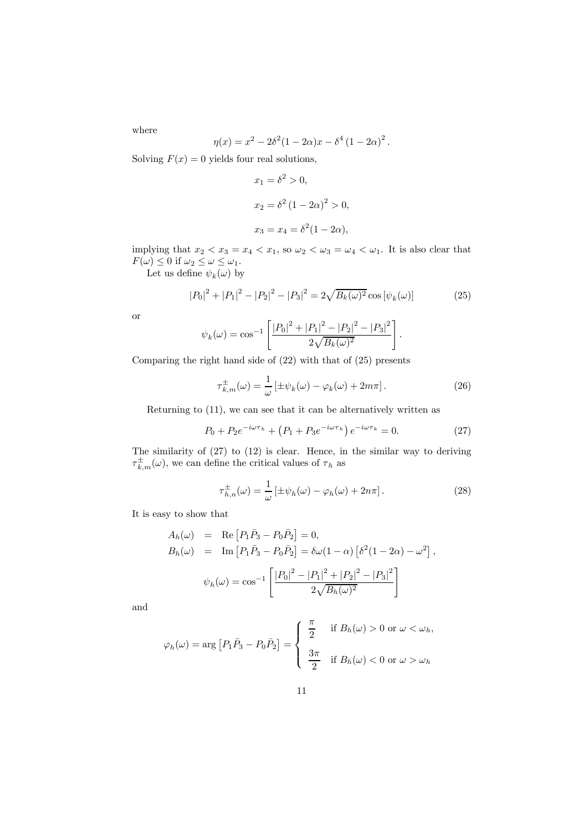where

$$
\eta(x) = x^2 - 2\delta^2 (1 - 2\alpha)x - \delta^4 (1 - 2\alpha)^2.
$$

Solving  $F(x)=0$  yields four real solutions,

$$
x_1 = \delta^2 > 0,
$$
  
\n
$$
x_2 = \delta^2 (1 - 2\alpha)^2 > 0,
$$
  
\n
$$
x_3 = x_4 = \delta^2 (1 - 2\alpha),
$$

implying that  $x_2 < x_3 = x_4 < x_1$ , so  $\omega_2 < \omega_3 = \omega_4 < \omega_1$ . It is also clear that  $F(\omega) \leq 0$  if  $\omega_2 \leq \omega \leq \omega_1$ .

Let us define  $\psi_k(\omega)$  by

$$
|P_0|^2 + |P_1|^2 - |P_2|^2 - |P_3|^2 = 2\sqrt{B_k(\omega)^2} \cos[\psi_k(\omega)] \tag{25}
$$

or

$$
\psi_k(\omega) = \cos^{-1}\left[\frac{|P_0|^2 + |P_1|^2 - |P_2|^2 - |P_3|^2}{2\sqrt{B_k(\omega)^2}}\right].
$$

Comparing the right hand side of (22) with that of (25) presents

$$
\tau_{k,m}^{\pm}(\omega) = \frac{1}{\omega} \left[ \pm \psi_k(\omega) - \varphi_k(\omega) + 2m\pi \right]. \tag{26}
$$

Returning to (11), we can see that it can be alternatively written as

$$
P_0 + P_2 e^{-i\omega \tau_h} + (P_1 + P_3 e^{-i\omega \tau_h}) e^{-i\omega \tau_k} = 0.
$$
 (27)

The similarity of (27) to (12) is clear. Hence, in the similar way to deriving  $\tau_{k,m}^{\pm}(\omega)$ , we can define the critical values of  $\tau_h$  as

$$
\tau_{h,n}^{\pm}(\omega) = \frac{1}{\omega} \left[ \pm \psi_h(\omega) - \varphi_h(\omega) + 2n\pi \right]. \tag{28}
$$

It is easy to show that

$$
A_h(\omega) = \text{Re}\left[P_1\bar{P}_3 - P_0\bar{P}_2\right] = 0,
$$
  
\n
$$
B_h(\omega) = \text{Im}\left[P_1\bar{P}_3 - P_0\bar{P}_2\right] = \delta\omega(1-\alpha)\left[\delta^2(1-2\alpha) - \omega^2\right],
$$
  
\n
$$
\psi_h(\omega) = \cos^{-1}\left[\frac{|P_0|^2 - |P_1|^2 + |P_2|^2 - |P_3|^2}{2\sqrt{B_h(\omega)^2}}\right]
$$

and

$$
\varphi_h(\omega) = \arg \left[ P_1 \bar{P}_3 - P_0 \bar{P}_2 \right] = \begin{cases} \frac{\pi}{2} & \text{if } B_h(\omega) > 0 \text{ or } \omega < \omega_h, \\ \frac{3\pi}{2} & \text{if } B_h(\omega) < 0 \text{ or } \omega > \omega_h \end{cases}
$$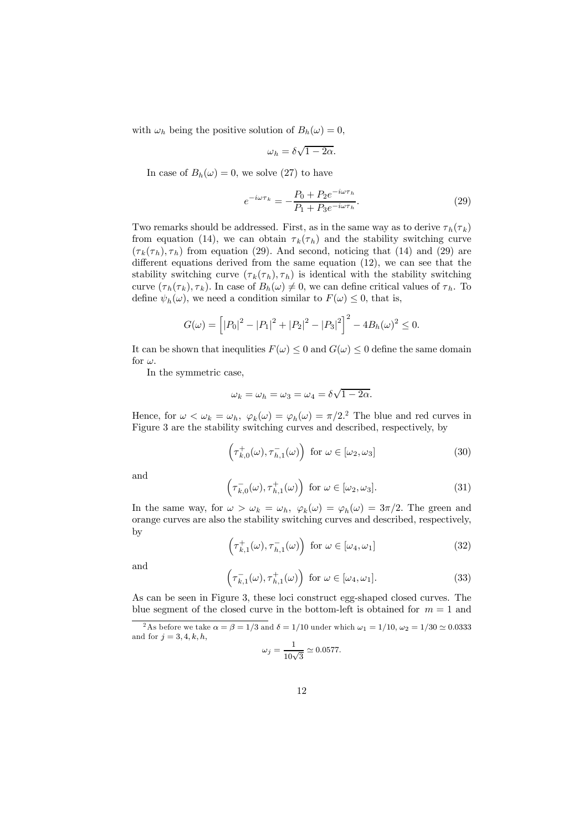with  $\omega_h$  being the positive solution of  $B_h(\omega)=0$ ,

$$
\omega_h = \delta \sqrt{1 - 2\alpha}.
$$

In case of  $B_h(\omega)=0$ , we solve (27) to have

$$
e^{-i\omega\tau_k} = -\frac{P_0 + P_2 e^{-i\omega\tau_h}}{P_1 + P_3 e^{-i\omega\tau_h}}.
$$
\n(29)

Two remarks should be addressed. First, as in the same way as to derive  $\tau_h(\tau_k)$ from equation (14), we can obtain  $\tau_k(\tau_h)$  and the stability switching curve  $(\tau_k(\tau_h), \tau_h)$  from equation (29). And second, noticing that (14) and (29) are different equations derived from the same equation (12), we can see that the stability switching curve  $(\tau_k(\tau_h), \tau_h)$  is identical with the stability switching curve  $(\tau_h(\tau_k), \tau_k)$ . In case of  $B_h(\omega) \neq 0$ , we can define critical values of  $\tau_h$ . To define  $\psi_h(\omega)$ , we need a condition similar to  $F(\omega) \leq 0$ , that is,

$$
G(\omega) = \left[ |P_0|^2 - |P_1|^2 + |P_2|^2 - |P_3|^2 \right]^2 - 4B_h(\omega)^2 \le 0.
$$

It can be shown that inequlities  $F(\omega) \leq 0$  and  $G(\omega) \leq 0$  define the same domain for  $\omega$ .

In the symmetric case,

$$
\omega_k = \omega_h = \omega_3 = \omega_4 = \delta \sqrt{1 - 2\alpha}.
$$

Hence, for  $\omega < \omega_k = \omega_h$ ,  $\varphi_k(\omega) = \varphi_h(\omega) = \pi/2^2$ . The blue and red curves in Figure 3 are the stability switching curves and described, respectively, by

$$
\left(\tau_{k,0}^{+}(\omega),\tau_{h,1}^{-}(\omega)\right) \text{ for } \omega \in [\omega_2, \omega_3] \tag{30}
$$

and

$$
\left(\tau_{k,0}^-(\omega),\tau_{h,1}^+(\omega)\right) \text{ for } \omega \in [\omega_2, \omega_3].\tag{31}
$$

In the same way, for  $\omega > \omega_k = \omega_h$ ,  $\varphi_k(\omega) = \varphi_h(\omega) = 3\pi/2$ . The green and orange curves are also the stability switching curves and described, respectively, by

$$
\left(\tau_{k,1}^+(\omega), \tau_{h,1}^-(\omega)\right) \text{ for } \omega \in [\omega_4, \omega_1]
$$
 (32)

and

$$
\left(\tau_{k,1}^-(\omega),\tau_{h,1}^+(\omega)\right) \text{ for } \omega \in [\omega_4, \omega_1].
$$
 (33)

As can be seen in Figure 3, these loci construct egg-shaped closed curves. The blue segment of the closed curve in the bottom-left is obtained for  $m = 1$  and

$$
\omega_j = \frac{1}{10\sqrt{3}} \simeq 0.0577.
$$

<sup>&</sup>lt;sup>2</sup>As before we take  $\alpha = \beta = 1/3$  and  $\delta = 1/10$  under which  $\omega_1 = 1/10$ ,  $\omega_2 = 1/30 \simeq 0.0333$ and for  $j = 3, 4, k, h$ ,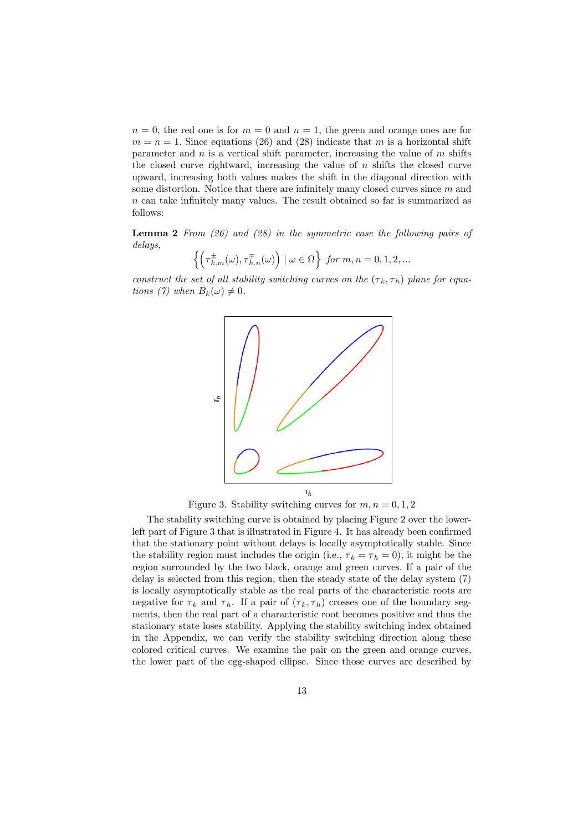$n = 0$ , the red one is for  $m = 0$  and  $n = 1$ , the green and orange ones are for  $m = n = 1$ . Since equations (26) and (28) indicate that m is a horizontal shift parameter and  $n$  is a vertical shift parameter, increasing the value of  $m$  shifts the closed curve rightward, increasing the value of  $n$  shifts the closed curve upward, increasing both values makes the shift in the diagonal direction with some distortion. Notice that there are infinitely many closed curves since  $m$  and n can take infinitely many values. The result obtained so far is summarized as follows:

Lemma 2 From (26) and (28) in the symmetric case the following pairs of delays,

$$
\left\{ \left( \tau_{k,m}^{\pm}(\omega), \tau_{h,n}^{\mp}(\omega) \right) \mid \omega \in \Omega \right\} \text{ for } m, n = 0, 1, 2, \dots
$$

construct the set of all stability switching curves on the  $(\tau_k, \tau_h)$  plane for equations (7) when  $B_k(\omega) \neq 0$ .



Figure 3. Stability switching curves for  $m, n = 0, 1, 2$ 

The stability switching curve is obtained by placing Figure 2 over the lowerleft part of Figure 3 that is illustrated in Figure 4. It has already been confirmed that the stationary point without delays is locally asymptotically stable. Since the stability region must includes the origin (i.e.,  $\tau_k = \tau_h = 0$ ), it might be the region surrounded by the two black, orange and green curves. If a pair of the delay is selected from this region, then the steady state of the delay system (7) is locally asymptotically stable as the real parts of the characteristic roots are negative for  $\tau_k$  and  $\tau_h$ . If a pair of  $(\tau_k, \tau_h)$  crosses one of the boundary segments, then the real part of a characteristic root becomes positive and thus the stationary state loses stability. Applying the stability switching index obtained in the Appendix, we can verify the stability switching direction along these colored critical curves. We examine the pair on the green and orange curves, the lower part of the egg-shaped ellipse. Since those curves are described by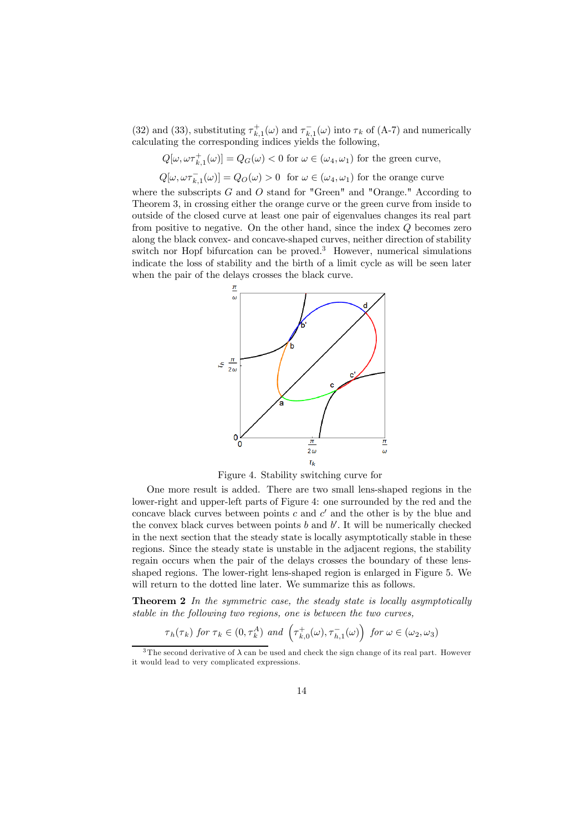(32) and (33), substituting  $\tau_{k,1}^+(\omega)$  and  $\tau_{k,1}^-(\omega)$  into  $\tau_k$  of (A-7) and numerically calculating the corresponding indices yields the following,

 $Q[\omega, \omega \tau_{k,1}^+(\omega)] = Q_G(\omega) < 0$  for  $\omega \in (\omega_4, \omega_1)$  for the green curve,

 $Q[\omega, \omega \tau_{k,1}^-(\omega)] = Q_O(\omega) > 0$  for  $\omega \in (\omega_4, \omega_1)$  for the orange curve

where the subscripts  $G$  and  $O$  stand for "Green" and "Orange." According to Theorem 3, in crossing either the orange curve or the green curve from inside to outside of the closed curve at least one pair of eigenvalues changes its real part from positive to negative. On the other hand, since the index  $Q$  becomes zero along the black convex- and concave-shaped curves, neither direction of stability switch nor Hopf bifurcation can be proved.<sup>3</sup> However, numerical simulations indicate the loss of stability and the birth of a limit cycle as will be seen later when the pair of the delays crosses the black curve.



Figure 4. Stability switching curve for

One more result is added. There are two small lens-shaped regions in the lower-right and upper-left parts of Figure 4: one surrounded by the red and the concave black curves between points c and  $c'$  and the other is by the blue and the convex black curves between points  $b$  and  $b'$ . It will be numerically checked in the next section that the steady state is locally asymptotically stable in these regions. Since the steady state is unstable in the adjacent regions, the stability regain occurs when the pair of the delays crosses the boundary of these lensshaped regions. The lower-right lens-shaped region is enlarged in Figure 5. We will return to the dotted line later. We summarize this as follows.

**Theorem 2** In the symmetric case, the steady state is locally asymptotically stable in the following two regions, one is between the two curves,

$$
\tau_h(\tau_k)
$$
 for  $\tau_k \in (0, \tau_k^A)$  and  $\left(\tau_{k,0}^+(\omega), \tau_{h,1}^-(\omega)\right)$  for  $\omega \in (\omega_2, \omega_3)$ 

<sup>&</sup>lt;sup>3</sup>The second derivative of  $\lambda$  can be used and check the sign change of its real part. However it would lead to very complicated expressions.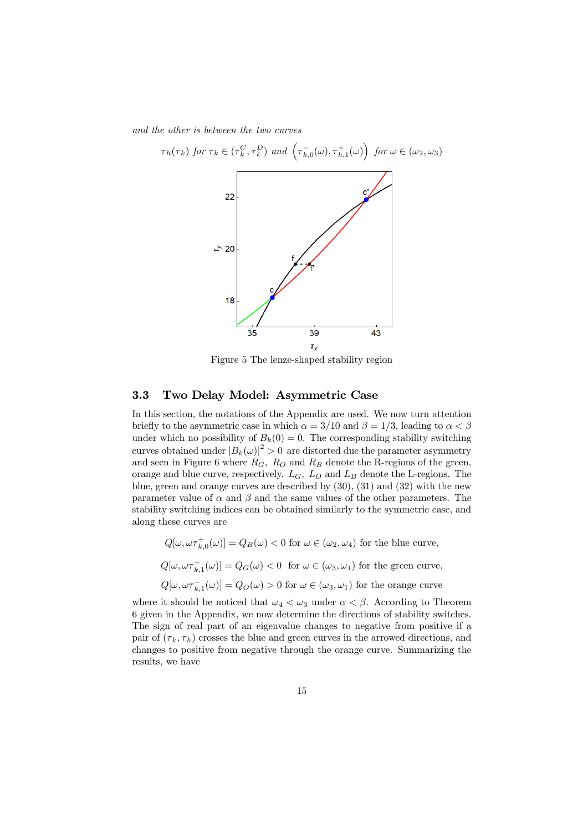and the other is between the two curves



Figure 5 The lenze-shaped stability region

### 3.3 Two Delay Model: Asymmetric Case

In this section, the notations of the Appendix are used. We now turn attention briefly to the asymmetric case in which  $\alpha = 3/10$  and  $\beta = 1/3$ , leading to  $\alpha < \beta$ under which no possibility of  $B_k(0) = 0$ . The corresponding stability switching curves obtained under  $|B_k(\omega)|^2 > 0$  are distorted due the parameter asymmetry and seen in Figure 6 where  $R_G$ ,  $R_O$  and  $R_B$  denote the R-regions of the green, orange and blue curve, respectively.  $L_G$ ,  $L_O$  and  $L_B$  denote the L-regions. The blue, green and orange curves are described by (30), (31) and (32) with the new parameter value of  $\alpha$  and  $\beta$  and the same values of the other parameters. The stability switching indices can be obtained similarly to the symmetric case, and along these curves are

 $Q[\omega, \omega \tau_{k,0}^+(\omega)] = Q_B(\omega) < 0$  for  $\omega \in (\omega_2, \omega_4)$  for the blue curve,

 $Q[\omega, \omega \tau_{k,1}^+(\omega)] = Q_G(\omega) < 0$  for  $\omega \in (\omega_3, \omega_1)$  for the green curve,

 $Q[\omega, \omega \tau_{k,1}(\omega)] = Q_O(\omega) > 0$  for  $\omega \in (\omega_3, \omega_1)$  for the orange curve

where it should be noticed that  $\omega_4 < \omega_3$  under  $\alpha < \beta$ . According to Theorem 6 given in the Appendix, we now determine the directions of stability switches. The sign of real part of an eigenvalue changes to negative from positive if a pair of  $(\tau_k, \tau_h)$  crosses the blue and green curves in the arrowed directions, and changes to positive from negative through the orange curve. Summarizing the results, we have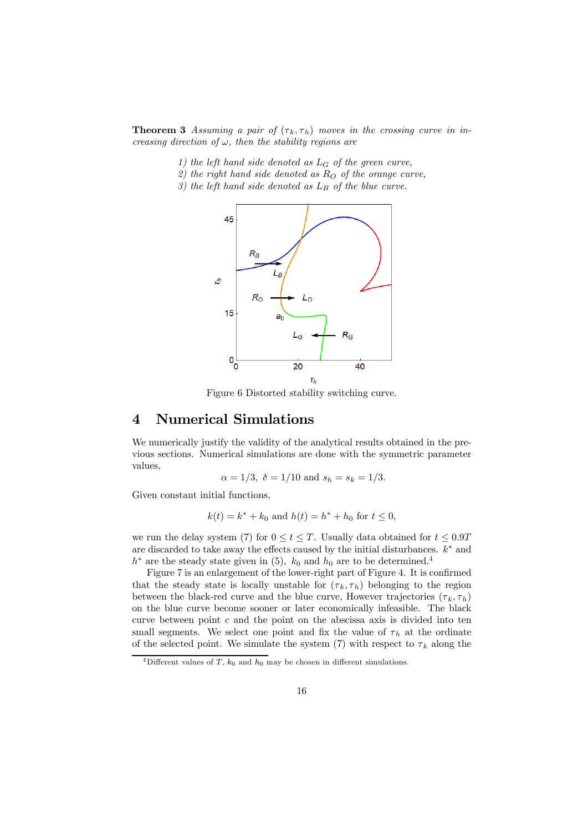**Theorem 3** Assuming a pair of  $(\tau_k, \tau_h)$  moves in the crossing curve in increasing direction of  $\omega$ , then the stability regions are

- 1) the left hand side denoted as  $L_G$  of the green curve,
- 2) the right hand side denoted as  $R_O$  of the orange curve.
- 3) the left hand side denoted as  $L_B$  of the blue curve.



Figure 6 Distorted stability switching curve.

## 4 Numerical Simulations

We numerically justify the validity of the analytical results obtained in the previous sections. Numerical simulations are done with the symmetric parameter values,

$$
\alpha = 1/3
$$
,  $\delta = 1/10$  and  $s_h = s_k = 1/3$ .

Given constant initial functions,

$$
k(t) = k^* + k_0
$$
 and  $h(t) = h^* + h_0$  for  $t \le 0$ ,

we run the delay system (7) for  $0 \le t \le T$ . Usually data obtained for  $t \le 0.9T$ are discarded to take away the effects caused by the initial disturbances.  $k^*$  and  $h^*$  are the steady state given in (5),  $k_0$  and  $h_0$  are to be determined.<sup>4</sup>

Figure 7 is an enlargement of the lower-right part of Figure 4. It is confirmed that the steady state is locally unstable for  $(\tau_k, \tau_h)$  belonging to the region between the black-red curve and the blue curve, However trajectories  $(\tau_k, \tau_h)$ on the blue curve become sooner or later economically infeasible. The black curve between point  $c$  and the point on the abscissa axis is divided into ten small segments. We select one point and fix the value of  $\tau_h$  at the ordinate of the selected point. We simulate the system (7) with respect to  $\tau_k$  along the

<sup>&</sup>lt;sup>4</sup>Different values of T,  $k_0$  and  $h_0$  may be chosen in different simulations.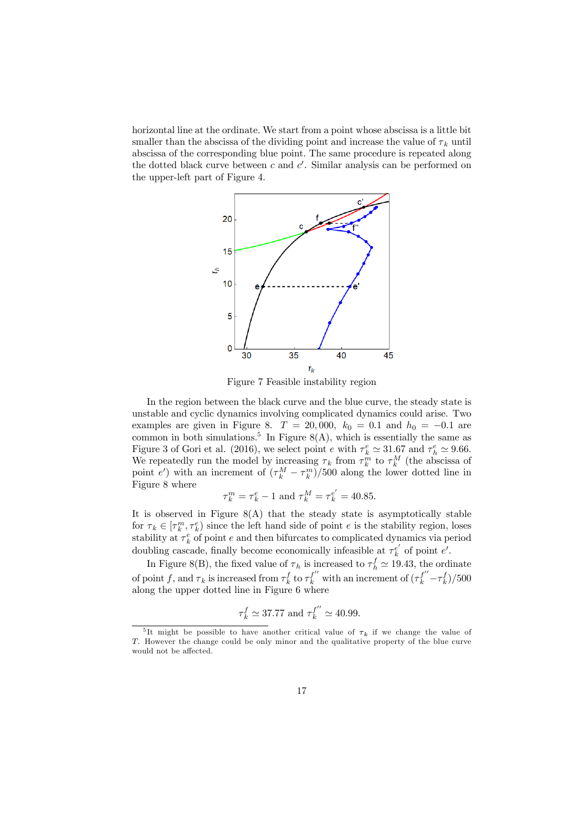horizontal line at the ordinate. We start from a point whose abscissa is a little bit smaller than the abscissa of the dividing point and increase the value of  $\tau_k$  until abscissa of the corresponding blue point. The same procedure is repeated along the dotted black curve between  $c$  and  $c'$ . Similar analysis can be performed on the upper-left part of Figure 4.



Figure 7 Feasible instability region

In the region between the black curve and the blue curve, the steady state is unstable and cyclic dynamics involving complicated dynamics could arise. Two examples are given in Figure 8.  $T = 20,000, k_0 = 0.1$  and  $h_0 = -0.1$  are common in both simulations.<sup>5</sup> In Figure 8(A), which is essentially the same as Figure 3 of Gori et al. (2016), we select point  $e$  with  $\tau_k^e \simeq 31.67$  and  $\tau_h^e \simeq 9.66$ . We repeatedly run the model by increasing  $\tau_k$  from  $\tau_k^m$  to  $\tau_k^M$  (the abscissa of point e') with an increment of  $(\tau_k^M - \tau_k^m)/500$  along the lower dotted line in Figure 8 where

$$
\tau_k^m = \tau_k^e - 1
$$
 and  $\tau_k^M = \tau_k^{e'} = 40.85$ .

It is observed in Figure  $8(A)$  that the steady state is asymptotically stable for  $\tau_k \in [\tau_k^m, \tau_k^e]$  since the left hand side of point e is the stability region, loses stability at  $\tau_k^e$  of point e and then bifurcates to complicated dynamics via period doubling cascade, finally become economically infeasible at  $\tau_k^{e'}$  of point  $e'$ .

In Figure 8(B), the fixed value of  $\tau_h$  is increased to  $\tau_h^f \simeq 19.43$ , the ordinate of point f, and  $\tau_k$  is increased from  $\tau_k^f$  to  $\tau_k^{f''}$  with an increment of  $(\tau_k^{f''}-\tau_k^f)/500$ along the upper dotted line in Figure 6 where

$$
\tau_k^f \simeq 37.77 \text{ and } \tau_k^{f''} \simeq 40.99.
$$

<sup>&</sup>lt;sup>5</sup>It might be possible to have another critical value of  $\tau_k$  if we change the value of T. However the change could be only minor and the qualitative property of the blue curve would not be affected.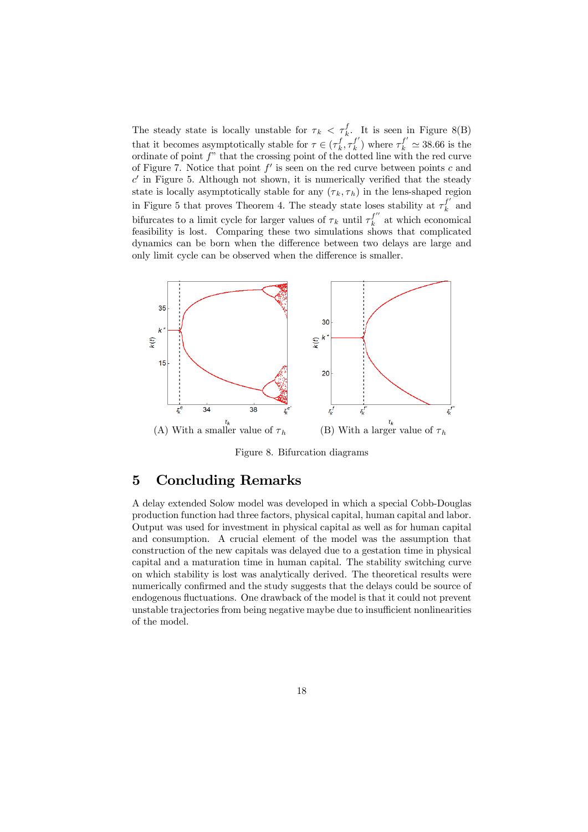The steady state is locally unstable for  $\tau_k < \tau_k^f$ . It is seen in Figure 8(B) that it becomes asymptotically stable for  $\tau \in (\tau_k^f, \tau_k^{f'})$  where  $\tau_k^{f'} \simeq 38.66$  is the ordinate of point  $f$ " that the crossing point of the dotted line with the red curve of Figure 7. Notice that point  $f'$  is seen on the red curve between points c and  $c'$  in Figure 5. Although not shown, it is numerically verified that the steady state is locally asymptotically stable for any  $(\tau_k, \tau_h)$  in the lens-shaped region in Figure 5 that proves Theorem 4. The steady state loses stability at  $\tau_k^{f'}$  and bifurcates to a limit cycle for larger values of  $\tau_k$  until  $\tau_k^{f''}$  at which economical feasibility is lost. Comparing these two simulations shows that complicated dynamics can be born when the difference between two delays are large and only limit cycle can be observed when the difference is smaller.



Figure 8. Bifurcation diagrams

## 5 Concluding Remarks

A delay extended Solow model was developed in which a special Cobb-Douglas production function had three factors, physical capital, human capital and labor. Output was used for investment in physical capital as well as for human capital and consumption. A crucial element of the model was the assumption that construction of the new capitals was delayed due to a gestation time in physical capital and a maturation time in human capital. The stability switching curve on which stability is lost was analytically derived. The theoretical results were numerically confirmed and the study suggests that the delays could be source of endogenous fluctuations. One drawback of the model is that it could not prevent unstable trajectories from being negative maybe due to insufficient nonlinearities of the model.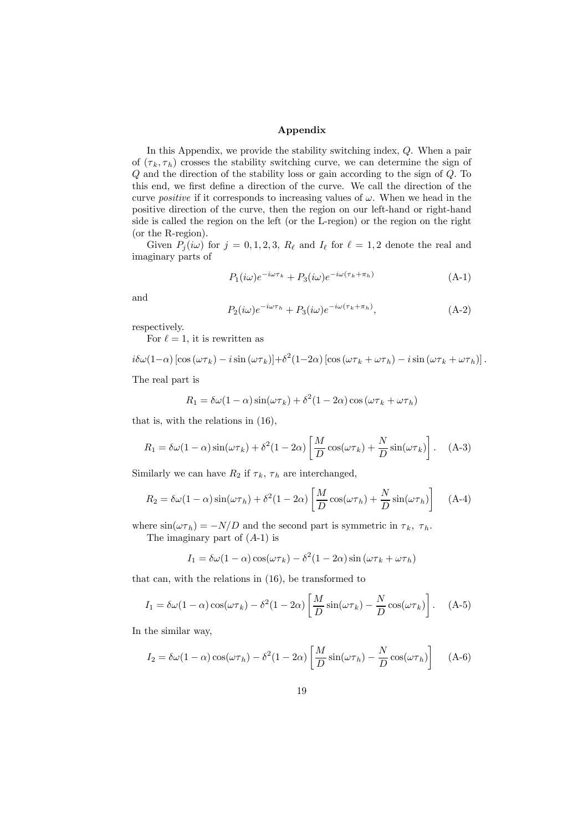#### Appendix

In this Appendix, we provide the stability switching index, Q. When a pair of  $(\tau_k, \tau_h)$  crosses the stability switching curve, we can determine the sign of Q and the direction of the stability loss or gain according to the sign of Q. To this end, we first define a direction of the curve. We call the direction of the curve *positive* if it corresponds to increasing values of  $\omega$ . When we head in the positive direction of the curve, then the region on our left-hand or right-hand side is called the region on the left (or the L-region) or the region on the right (or the R-region).

Given  $P_i(i\omega)$  for  $j = 0, 1, 2, 3, R_\ell$  and  $I_\ell$  for  $\ell = 1, 2$  denote the real and imaginary parts of

$$
P_1(i\omega)e^{-i\omega\tau_k} + P_3(i\omega)e^{-i\omega(\tau_k + \pi_h)} \tag{A-1}
$$

and

$$
P_2(i\omega)e^{-i\omega\tau_h} + P_3(i\omega)e^{-i\omega(\tau_k + \pi_h)}, \tag{A-2}
$$

respectively.

For  $\ell = 1$ , it is rewritten as

$$
i\delta\omega(1-\alpha)\left[\cos\left(\omega\tau_{k}\right)-i\sin\left(\omega\tau_{k}\right)\right]+\delta^{2}(1-2\alpha)\left[\cos\left(\omega\tau_{k}+\omega\tau_{h}\right)-i\sin\left(\omega\tau_{k}+\omega\tau_{h}\right)\right].
$$

The real part is

$$
R_1 = \delta\omega(1-\alpha)\sin(\omega\tau_k) + \delta^2(1-2\alpha)\cos(\omega\tau_k + \omega\tau_h)
$$

that is, with the relations in (16),

$$
R_1 = \delta\omega(1-\alpha)\sin(\omega\tau_k) + \delta^2(1-2\alpha)\left[\frac{M}{D}\cos(\omega\tau_k) + \frac{N}{D}\sin(\omega\tau_k)\right].
$$
 (A-3)

Similarly we can have  $R_2$  if  $\tau_k$ ,  $\tau_h$  are interchanged,

$$
R_2 = \delta\omega(1-\alpha)\sin(\omega\tau_h) + \delta^2(1-2\alpha)\left[\frac{M}{D}\cos(\omega\tau_h) + \frac{N}{D}\sin(\omega\tau_h)\right]
$$
 (A-4)

where  $\sin(\omega \tau_h) = -N/D$  and the second part is symmetric in  $\tau_k$ ,  $\tau_h$ . The imaginary part of  $(A-1)$  is

$$
I_1 = \delta\omega(1-\alpha)\cos(\omega\tau_k) - \delta^2(1-2\alpha)\sin(\omega\tau_k + \omega\tau_h)
$$

that can, with the relations in (16), be transformed to

$$
I_1 = \delta\omega(1-\alpha)\cos(\omega\tau_k) - \delta^2(1-2\alpha)\left[\frac{M}{D}\sin(\omega\tau_k) - \frac{N}{D}\cos(\omega\tau_k)\right]. \quad (A-5)
$$

In the similar way,

$$
I_2 = \delta\omega(1-\alpha)\cos(\omega\tau_h) - \delta^2(1-2\alpha)\left[\frac{M}{D}\sin(\omega\tau_h) - \frac{N}{D}\cos(\omega\tau_h)\right]
$$
 (A-6)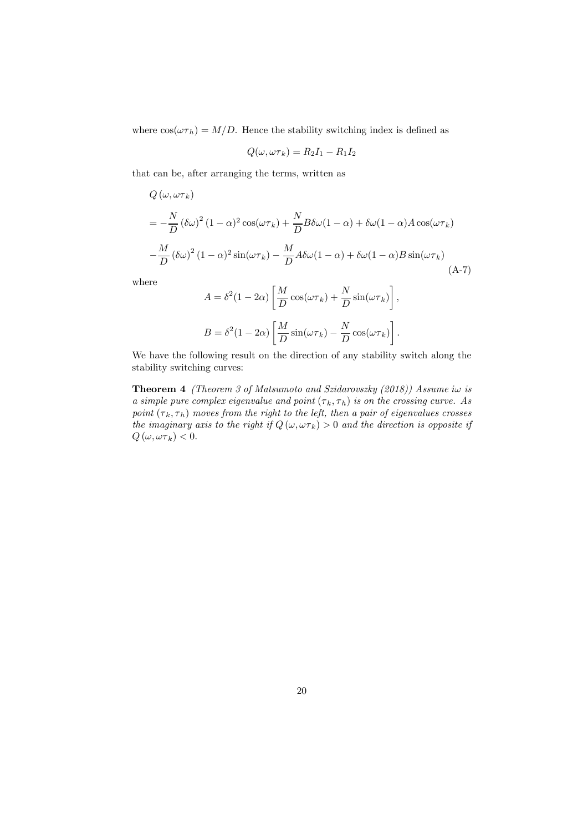where  $cos(\omega \tau_h) = M/D$ . Hence the stability switching index is defined as

$$
Q(\omega, \omega \tau_k) = R_2 I_1 - R_1 I_2
$$

that can be, after arranging the terms, written as

$$
Q(\omega, \omega \tau_k)
$$
  
=  $-\frac{N}{D} (\delta \omega)^2 (1 - \alpha)^2 \cos(\omega \tau_k) + \frac{N}{D} B \delta \omega (1 - \alpha) + \delta \omega (1 - \alpha) A \cos(\omega \tau_k)$   

$$
-\frac{M}{D} (\delta \omega)^2 (1 - \alpha)^2 \sin(\omega \tau_k) - \frac{M}{D} A \delta \omega (1 - \alpha) + \delta \omega (1 - \alpha) B \sin(\omega \tau_k)
$$
(A-7)

where

$$
A = \delta^2 (1 - 2\alpha) \left[ \frac{M}{D} \cos(\omega \tau_k) + \frac{N}{D} \sin(\omega \tau_k) \right],
$$
  

$$
B = \delta^2 (1 - 2\alpha) \left[ \frac{M}{D} \sin(\omega \tau_k) - \frac{N}{D} \cos(\omega \tau_k) \right].
$$

We have the following result on the direction of any stability switch along the stability switching curves:

**Theorem 4** (Theorem 3 of Matsumoto and Szidarovszky  $(2018)$ ) Assume i $\omega$  is a simple pure complex eigenvalue and point  $(\tau_k, \tau_h)$  is on the crossing curve. As point  $(\tau_k, \tau_h)$  moves from the right to the left, then a pair of eigenvalues crosses the imaginary axis to the right if  $Q(\omega, \omega \tau_k) > 0$  and the direction is opposite if  $Q(\omega, \omega \tau_k) < 0.$